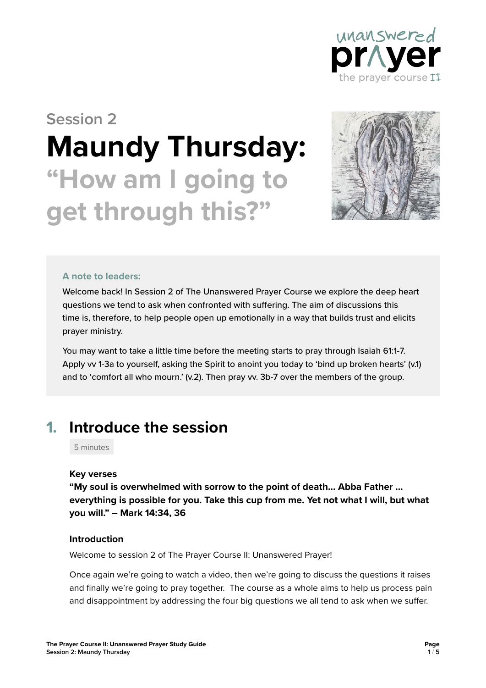

# **Session 2 Maundy Thursday: "How am I going to get through this?"**



#### **A note to leaders:**

Welcome back! In Session 2 of The Unanswered Prayer Course we explore the deep heart questions we tend to ask when confronted with suffering. The aim of discussions this time is, therefore, to help people open up emotionally in a way that builds trust and elicits prayer ministry.

You may want to take a little time before the meeting starts to pray through Isaiah 61:1-7. Apply vv 1-3a to yourself, asking the Spirit to anoint you today to 'bind up broken hearts' (v.1) and to 'comfort all who mourn.' (v.2). Then pray vv. 3b-7 over the members of the group.

### **1. Introduce the session**

5 minutes

#### **Key verses**

**"My soul is overwhelmed with sorrow to the point of death… Abba Father … everything is possible for you. Take this cup from me. Yet not what I will, but what you will." – Mark 14:34, 36**

#### **Introduction**

Welcome to session 2 of The Prayer Course II: Unanswered Prayer!

Once again we're going to watch a video, then we're going to discuss the questions it raises and finally we're going to pray together. The course as a whole aims to help us process pain and disappointment by addressing the four big questions we all tend to ask when we suffer.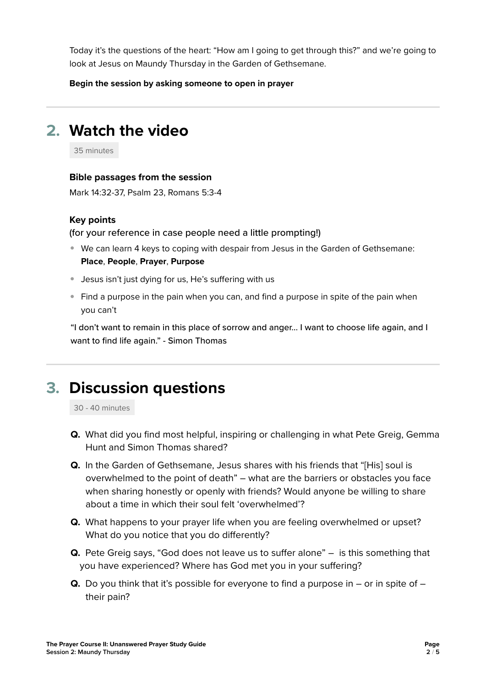Today it's the questions of the heart: "How am I going to get through this?" and we're going to look at Jesus on Maundy Thursday in the Garden of Gethsemane.

**Begin the session by asking someone to open in prayer**

# **2. Watch the video**

35 minutes

#### **Bible passages from the session**

Mark 14:32-37, Psalm 23, Romans 5:3-4

#### **Key points**

(for your reference in case people need a little prompting!)

- We can learn 4 keys to coping with despair from Jesus in the Garden of Gethsemane: **Place**, **People**, **Prayer**, **Purpose**
- Jesus isn't just dying for us, He's suffering with us
- **Find a purpose in the pain when you can, and find a purpose in spite of the pain when** you can't

"I don't want to remain in this place of sorrow and anger… I want to choose life again, and I want to find life again." - Simon Thomas

## **3. Discussion questions**

30 - 40 minutes

- **Q.** What did you find most helpful, inspiring or challenging in what Pete Greig, Gemma Hunt and Simon Thomas shared?
- **Q.** In the Garden of Gethsemane, Jesus shares with his friends that "[His] soul is overwhelmed to the point of death" – what are the barriers or obstacles you face when sharing honestly or openly with friends? Would anyone be willing to share about a time in which their soul felt 'overwhelmed'?
- **Q.** What happens to your prayer life when you are feeling overwhelmed or upset? What do you notice that you do differently?
- **Q.** Pete Greig says, "God does not leave us to suffer alone" is this something that you have experienced? Where has God met you in your suffering?
- **Q.** Do you think that it's possible for everyone to find a purpose in or in spite of their pain?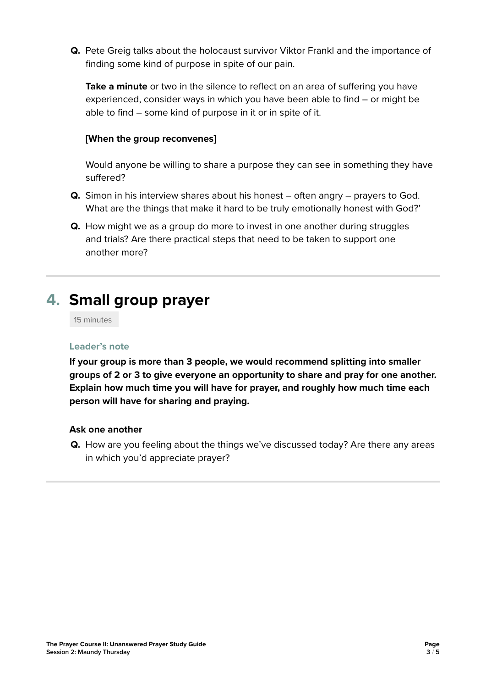**Q.** Pete Greig talks about the holocaust survivor Viktor Frankl and the importance of finding some kind of purpose in spite of our pain.

**Take a minute** or two in the silence to reflect on an area of suffering you have experienced, consider ways in which you have been able to find – or might be able to find – some kind of purpose in it or in spite of it.

### **[When the group reconvenes]**

Would anyone be willing to share a purpose they can see in something they have suffered?

- **Q.** Simon in his interview shares about his honest often angry prayers to God. What are the things that make it hard to be truly emotionally honest with God?'
- **Q.** How might we as a group do more to invest in one another during struggles and trials? Are there practical steps that need to be taken to support one another more?

# **4. Small group prayer**

15 minutes

#### **Leader's note**

**If your group is more than 3 people, we would recommend splitting into smaller groups of 2 or 3 to give everyone an opportunity to share and pray for one another. Explain how much time you will have for prayer, and roughly how much time each person will have for sharing and praying.** 

#### **Ask one another**

**Q.** How are you feeling about the things we've discussed today? Are there any areas in which you'd appreciate prayer?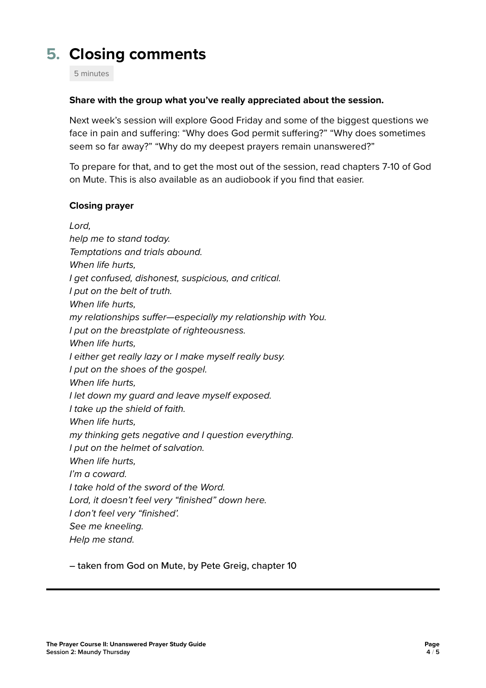# **5. Closing comments**

5 minutes

#### **Share with the group what you've really appreciated about the session.**

Next week's session will explore Good Friday and some of the biggest questions we face in pain and suffering: "Why does God permit suffering?" "Why does sometimes seem so far away?" "Why do my deepest prayers remain unanswered?"

To prepare for that, and to get the most out of the session, read chapters 7-10 of God on Mute. This is also available as an audiobook if you find that easier.

#### **Closing prayer**

*Lord, help me to stand today. Temptations and trials abound. When life hurts, I get confused, dishonest, suspicious, and critical. I put on the belt of truth. When life hurts, my relationships suffer—especially my relationship with You. I put on the breastplate of righteousness. When life hurts, I either get really lazy or I make myself really busy. I put on the shoes of the gospel. When life hurts, I let down my guard and leave myself exposed. I take up the shield of faith. When life hurts, my thinking gets negative and I question everything. I put on the helmet of salvation. When life hurts, I'm a coward. I take hold of the sword of the Word. Lord, it doesn't feel very "finished" down here. I don't feel very "finished'. See me kneeling. Help me stand.* 

– taken from God on Mute, by Pete Greig, chapter 10